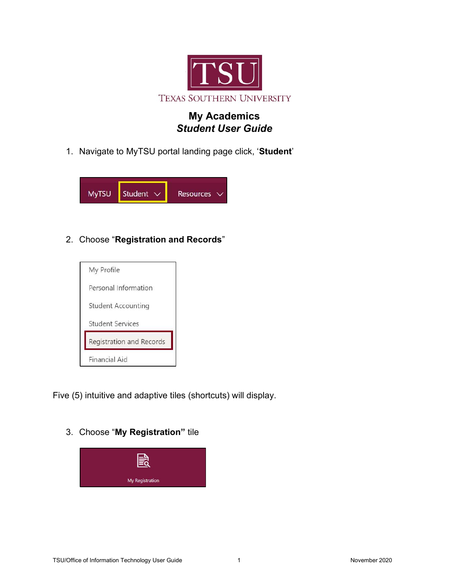

# My Academics Student User Guide

1. Navigate to MyTSU portal landing page click, 'Student'



2. Choose "Registration and Records"



Five (5) intuitive and adaptive tiles (shortcuts) will display.

3. Choose "My Registration" tile

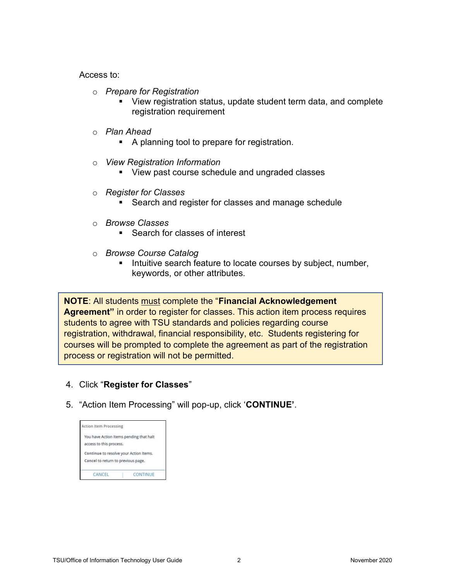Access to:

- o Prepare for Registration
	- View registration status, update student term data, and complete registration requirement
- o Plan Ahead
	- A planning tool to prepare for registration.
- o View Registration Information
	- **View past course schedule and ungraded classes**
- o Register for Classes
	- **Search and register for classes and manage schedule**
- o Browse Classes
	- Search for classes of interest
- o Browse Course Catalog
	- Intuitive search feature to locate courses by subject, number, keywords, or other attributes.

**NOTE:** All students must complete the "Financial Acknowledgement Agreement" in order to register for classes. This action item process requires students to agree with TSU standards and policies regarding course registration, withdrawal, financial responsibility, etc. Students registering for courses will be prompted to complete the agreement as part of the registration process or registration will not be permitted.

- 4. Click "Register for Classes"
- 5. "Action Item Processing" will pop-up, click 'CONTINUE'.

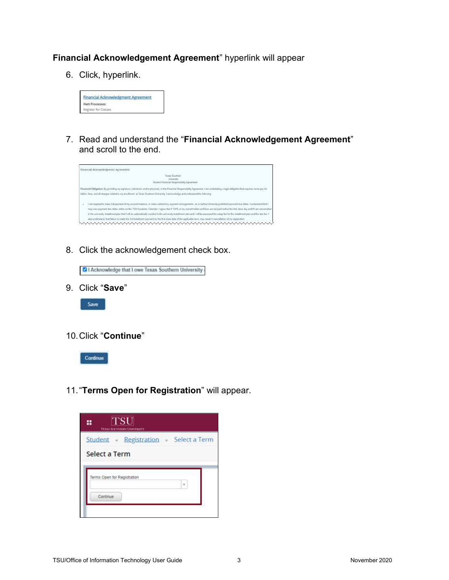## Financial Acknowledgement Agreement" hyperlink will appear

6. Click, hyperlink.



7. Read and understand the "Financial Acknowledgement Agreement" and scroll to the end.



8. Click the acknowledgement check box.

2 | Acknowledge that I owe Texas Southern University

9. Click "Save"



10. Click "Continue"



11. "Terms Open for Registration" will appear.

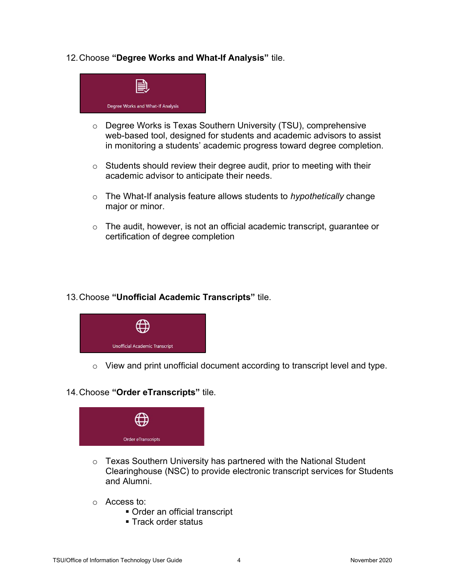## 12. Choose "Degree Works and What-If Analysis" tile.



- o Degree Works is Texas Southern University (TSU), comprehensive web-based tool, designed for students and academic advisors to assist in monitoring a students' academic progress toward degree completion.
- $\circ$  Students should review their degree audit, prior to meeting with their academic advisor to anticipate their needs.
- $\circ$  The What-If analysis feature allows students to *hypothetically* change major or minor.
- o The audit, however, is not an official academic transcript, guarantee or certification of degree completion

### 13. Choose "Unofficial Academic Transcripts" tile.



o View and print unofficial document according to transcript level and type.

### 14. Choose "Order eTranscripts" tile.



- o Texas Southern University has partnered with the National Student Clearinghouse (NSC) to provide electronic transcript services for Students and Alumni.
- o Access to:
	- Order an official transcript
	- Track order status